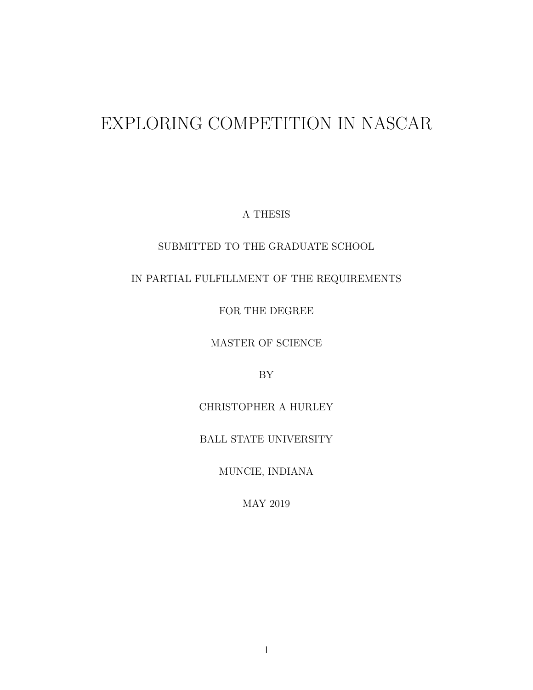# EXPLORING COMPETITION IN NASCAR

A THESIS

## SUBMITTED TO THE GRADUATE SCHOOL

## IN PARTIAL FULFILLMENT OF THE REQUIREMENTS

FOR THE DEGREE

MASTER OF SCIENCE

BY

CHRISTOPHER A HURLEY

BALL STATE UNIVERSITY

MUNCIE, INDIANA

MAY 2019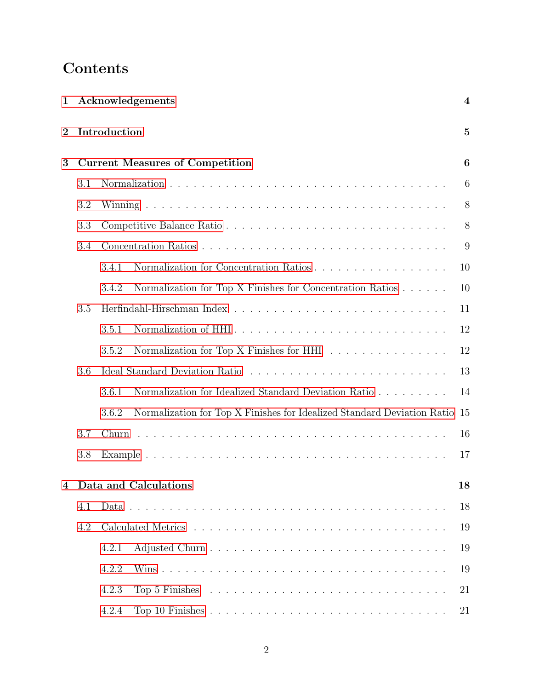# Contents

| 1        | Acknowledgements              |                                                                                                        |          |  |  |  |  |  |  |
|----------|-------------------------------|--------------------------------------------------------------------------------------------------------|----------|--|--|--|--|--|--|
| $\bf{2}$ | Introduction                  |                                                                                                        |          |  |  |  |  |  |  |
| 3        |                               | <b>Current Measures of Competition</b>                                                                 |          |  |  |  |  |  |  |
|          | 3.1                           |                                                                                                        | 6        |  |  |  |  |  |  |
|          | 3.2                           |                                                                                                        | 8        |  |  |  |  |  |  |
|          | 3.3                           |                                                                                                        | 8        |  |  |  |  |  |  |
|          | 3.4                           |                                                                                                        | 9        |  |  |  |  |  |  |
|          |                               | Normalization for Concentration Ratios<br>3.4.1                                                        | 10       |  |  |  |  |  |  |
|          |                               | Normalization for Top X Finishes for Concentration Ratios<br>3.4.2                                     | 10       |  |  |  |  |  |  |
|          | 3.5                           |                                                                                                        | 11       |  |  |  |  |  |  |
|          | Normalization of HHI<br>3.5.1 | 12                                                                                                     |          |  |  |  |  |  |  |
|          |                               | Normalization for Top X Finishes for HHI<br>3.5.2                                                      | 12       |  |  |  |  |  |  |
|          |                               | 13                                                                                                     |          |  |  |  |  |  |  |
|          |                               | Normalization for Idealized Standard Deviation Ratio<br>3.6.1                                          | 14       |  |  |  |  |  |  |
|          |                               | Normalization for Top X Finishes for Idealized Standard Deviation Ratio<br>3.6.2                       | 15       |  |  |  |  |  |  |
| 3.7      |                               |                                                                                                        |          |  |  |  |  |  |  |
|          |                               | 17                                                                                                     |          |  |  |  |  |  |  |
|          |                               | 4 Data and Calculations                                                                                | 18       |  |  |  |  |  |  |
|          | 4.1                           |                                                                                                        | 18       |  |  |  |  |  |  |
| 4.2      |                               |                                                                                                        |          |  |  |  |  |  |  |
|          |                               | 4.2.1                                                                                                  | 19<br>19 |  |  |  |  |  |  |
|          |                               | 4.2.2                                                                                                  | 19       |  |  |  |  |  |  |
|          |                               | 4.2.3<br>Top 5 Finishes $\ldots \ldots \ldots \ldots \ldots \ldots \ldots \ldots \ldots \ldots \ldots$ | 21       |  |  |  |  |  |  |
|          |                               | 4.2.4                                                                                                  | 21       |  |  |  |  |  |  |
|          |                               |                                                                                                        |          |  |  |  |  |  |  |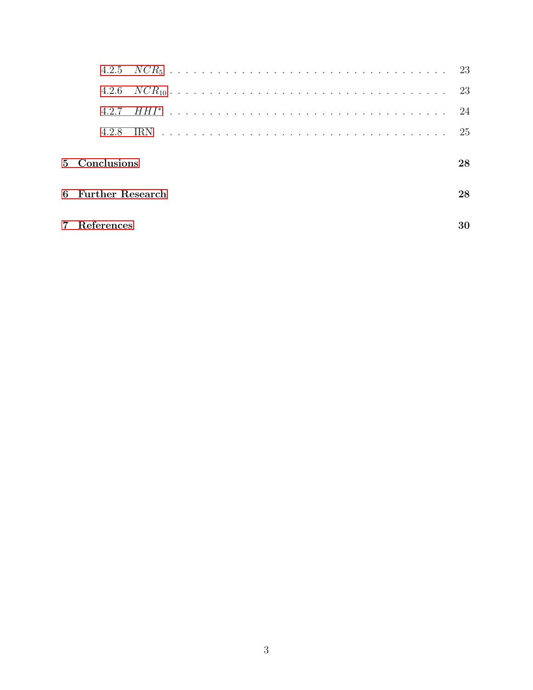| 427                |    |
|--------------------|----|
|                    |    |
| 5 Conclusions      | 28 |
| 6 Further Research | 28 |
| References         |    |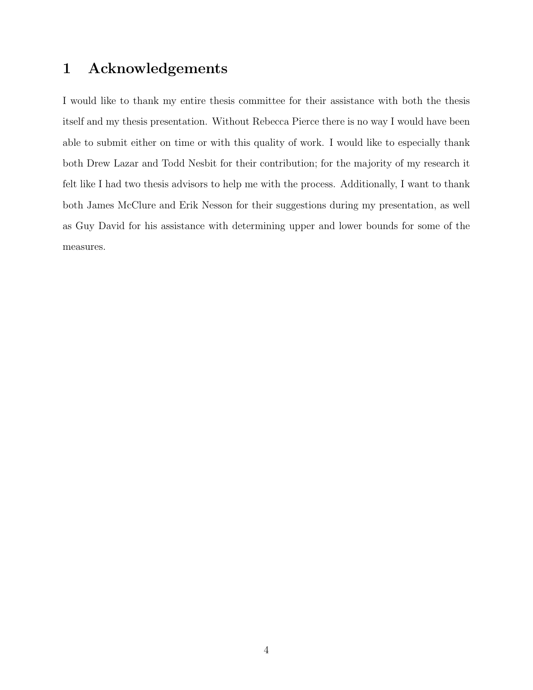## <span id="page-3-0"></span>1 Acknowledgements

I would like to thank my entire thesis committee for their assistance with both the thesis itself and my thesis presentation. Without Rebecca Pierce there is no way I would have been able to submit either on time or with this quality of work. I would like to especially thank both Drew Lazar and Todd Nesbit for their contribution; for the majority of my research it felt like I had two thesis advisors to help me with the process. Additionally, I want to thank both James McClure and Erik Nesson for their suggestions during my presentation, as well as Guy David for his assistance with determining upper and lower bounds for some of the measures.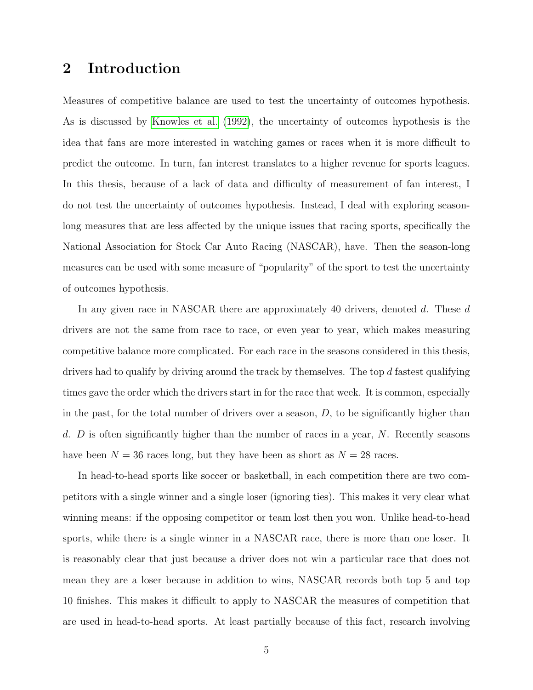## <span id="page-4-0"></span>2 Introduction

Measures of competitive balance are used to test the uncertainty of outcomes hypothesis. As is discussed by [Knowles et al.](#page-29-1) [\(1992\)](#page-29-1), the uncertainty of outcomes hypothesis is the idea that fans are more interested in watching games or races when it is more difficult to predict the outcome. In turn, fan interest translates to a higher revenue for sports leagues. In this thesis, because of a lack of data and difficulty of measurement of fan interest, I do not test the uncertainty of outcomes hypothesis. Instead, I deal with exploring seasonlong measures that are less affected by the unique issues that racing sports, specifically the National Association for Stock Car Auto Racing (NASCAR), have. Then the season-long measures can be used with some measure of "popularity" of the sport to test the uncertainty of outcomes hypothesis.

In any given race in NASCAR there are approximately 40 drivers, denoted d. These d drivers are not the same from race to race, or even year to year, which makes measuring competitive balance more complicated. For each race in the seasons considered in this thesis, drivers had to qualify by driving around the track by themselves. The top d fastest qualifying times gave the order which the drivers start in for the race that week. It is common, especially in the past, for the total number of drivers over a season,  $D$ , to be significantly higher than d.  $D$  is often significantly higher than the number of races in a year,  $N$ . Recently seasons have been  $N = 36$  races long, but they have been as short as  $N = 28$  races.

In head-to-head sports like soccer or basketball, in each competition there are two competitors with a single winner and a single loser (ignoring ties). This makes it very clear what winning means: if the opposing competitor or team lost then you won. Unlike head-to-head sports, while there is a single winner in a NASCAR race, there is more than one loser. It is reasonably clear that just because a driver does not win a particular race that does not mean they are a loser because in addition to wins, NASCAR records both top 5 and top 10 finishes. This makes it difficult to apply to NASCAR the measures of competition that are used in head-to-head sports. At least partially because of this fact, research involving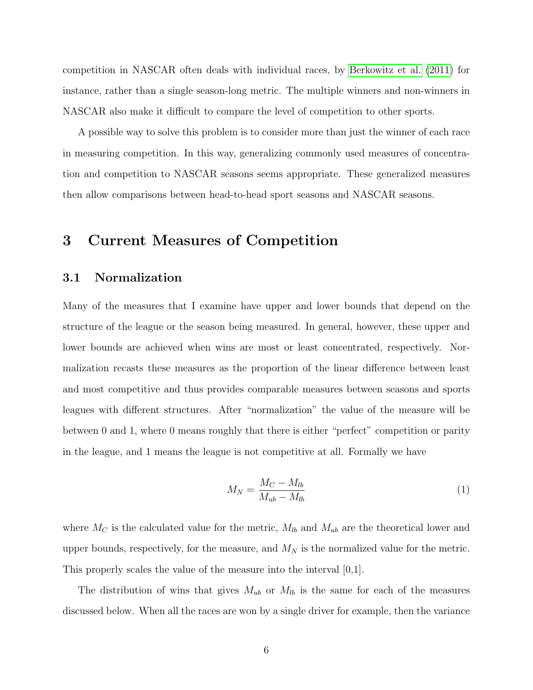competition in NASCAR often deals with individual races, by [Berkowitz et al.](#page-29-2) [\(2011\)](#page-29-2) for instance, rather than a single season-long metric. The multiple winners and non-winners in NASCAR also make it difficult to compare the level of competition to other sports.

A possible way to solve this problem is to consider more than just the winner of each race in measuring competition. In this way, generalizing commonly used measures of concentration and competition to NASCAR seasons seems appropriate. These generalized measures then allow comparisons between head-to-head sport seasons and NASCAR seasons.

## <span id="page-5-0"></span>3 Current Measures of Competition

## <span id="page-5-1"></span>3.1 Normalization

Many of the measures that I examine have upper and lower bounds that depend on the structure of the league or the season being measured. In general, however, these upper and lower bounds are achieved when wins are most or least concentrated, respectively. Normalization recasts these measures as the proportion of the linear difference between least and most competitive and thus provides comparable measures between seasons and sports leagues with different structures. After "normalization" the value of the measure will be between 0 and 1, where 0 means roughly that there is either "perfect" competition or parity in the league, and 1 means the league is not competitive at all. Formally we have

<span id="page-5-2"></span>
$$
M_N = \frac{M_C - M_{lb}}{M_{ub} - M_{lb}}
$$
\n<sup>(1)</sup>

where  $M_C$  is the calculated value for the metric,  $M_{lb}$  and  $M_{ub}$  are the theoretical lower and upper bounds, respectively, for the measure, and  $M_N$  is the normalized value for the metric. This properly scales the value of the measure into the interval [0,1].

The distribution of wins that gives  $M_{ub}$  or  $M_{lb}$  is the same for each of the measures discussed below. When all the races are won by a single driver for example, then the variance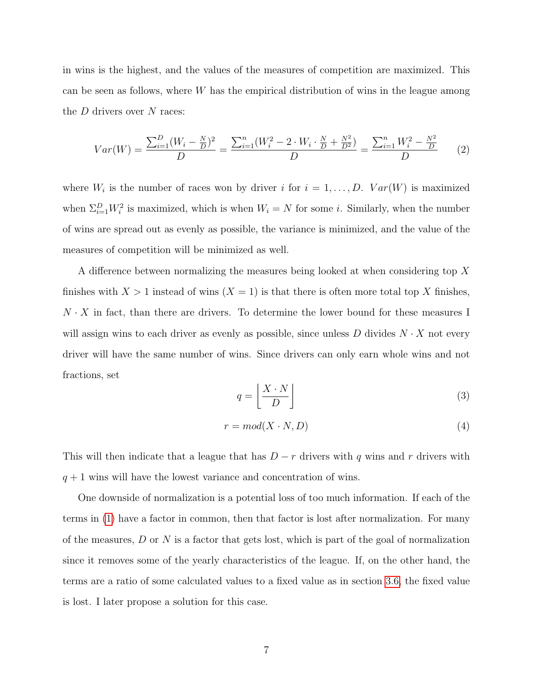in wins is the highest, and the values of the measures of competition are maximized. This can be seen as follows, where  $W$  has the empirical distribution of wins in the league among the  $D$  drivers over  $N$  races:

<span id="page-6-2"></span>
$$
Var(W) = \frac{\sum_{i=1}^{D} (W_i - \frac{N}{D})^2}{D} = \frac{\sum_{i=1}^{n} (W_i^2 - 2 \cdot W_i \cdot \frac{N}{D} + \frac{N^2}{D^2})}{D} = \frac{\sum_{i=1}^{n} W_i^2 - \frac{N^2}{D}}{D}
$$
(2)

where  $W_i$  is the number of races won by driver i for  $i = 1, \ldots, D$ .  $Var(W)$  is maximized when  $\Sigma_{i=1}^D W_i^2$  is maximized, which is when  $W_i = N$  for some *i*. Similarly, when the number of wins are spread out as evenly as possible, the variance is minimized, and the value of the measures of competition will be minimized as well.

A difference between normalizing the measures being looked at when considering top X finishes with  $X > 1$  instead of wins  $(X = 1)$  is that there is often more total top X finishes,  $N \cdot X$  in fact, than there are drivers. To determine the lower bound for these measures I will assign wins to each driver as evenly as possible, since unless  $D$  divides  $N \cdot X$  not every driver will have the same number of wins. Since drivers can only earn whole wins and not fractions, set

<span id="page-6-0"></span>
$$
q = \left\lfloor \frac{X \cdot N}{D} \right\rfloor \tag{3}
$$

<span id="page-6-1"></span>
$$
r = mod(X \cdot N, D) \tag{4}
$$

This will then indicate that a league that has  $D - r$  drivers with q wins and r drivers with  $q + 1$  wins will have the lowest variance and concentration of wins.

One downside of normalization is a potential loss of too much information. If each of the terms in [\(1\)](#page-5-2) have a factor in common, then that factor is lost after normalization. For many of the measures,  $D$  or  $N$  is a factor that gets lost, which is part of the goal of normalization since it removes some of the yearly characteristics of the league. If, on the other hand, the terms are a ratio of some calculated values to a fixed value as in section [3.6,](#page-12-0) the fixed value is lost. I later propose a solution for this case.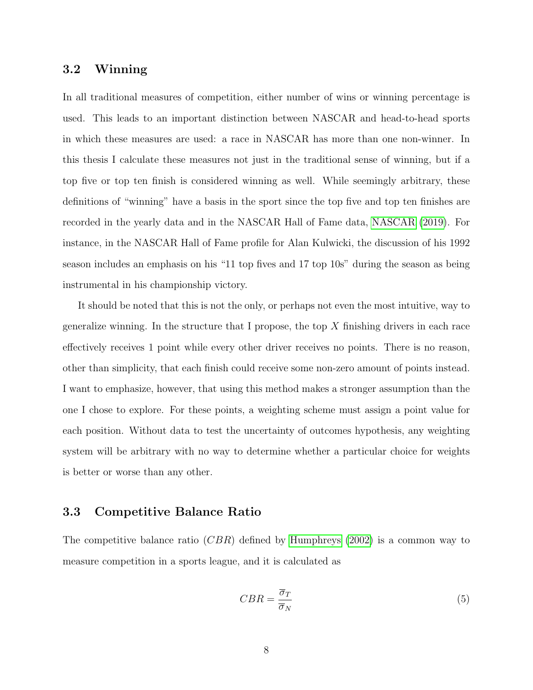## <span id="page-7-0"></span>3.2 Winning

In all traditional measures of competition, either number of wins or winning percentage is used. This leads to an important distinction between NASCAR and head-to-head sports in which these measures are used: a race in NASCAR has more than one non-winner. In this thesis I calculate these measures not just in the traditional sense of winning, but if a top five or top ten finish is considered winning as well. While seemingly arbitrary, these definitions of "winning" have a basis in the sport since the top five and top ten finishes are recorded in the yearly data and in the NASCAR Hall of Fame data, [NASCAR](#page-29-3) [\(2019\)](#page-29-3). For instance, in the NASCAR Hall of Fame profile for Alan Kulwicki, the discussion of his 1992 season includes an emphasis on his "11 top fives and 17 top 10s" during the season as being instrumental in his championship victory.

It should be noted that this is not the only, or perhaps not even the most intuitive, way to generalize winning. In the structure that I propose, the top  $X$  finishing drivers in each race effectively receives 1 point while every other driver receives no points. There is no reason, other than simplicity, that each finish could receive some non-zero amount of points instead. I want to emphasize, however, that using this method makes a stronger assumption than the one I chose to explore. For these points, a weighting scheme must assign a point value for each position. Without data to test the uncertainty of outcomes hypothesis, any weighting system will be arbitrary with no way to determine whether a particular choice for weights is better or worse than any other.

## <span id="page-7-1"></span>3.3 Competitive Balance Ratio

The competitive balance ratio  $(CBR)$  defined by [Humphreys](#page-29-4) [\(2002\)](#page-29-4) is a common way to measure competition in a sports league, and it is calculated as

$$
CBR = \frac{\overline{\sigma}_T}{\overline{\sigma}_N} \tag{5}
$$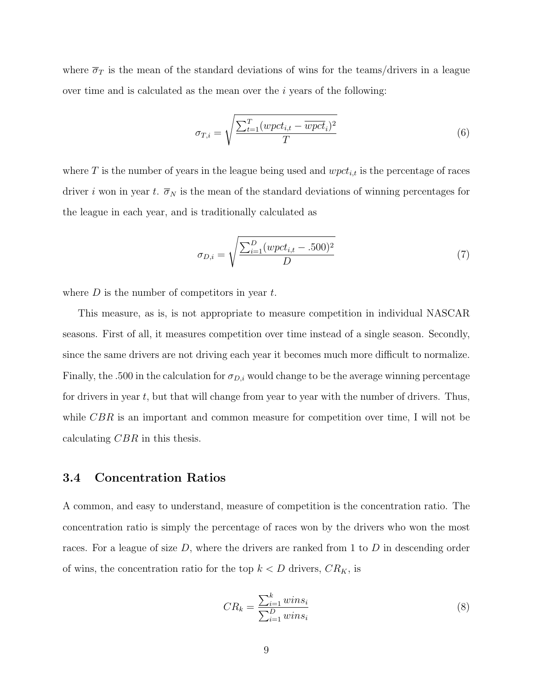where  $\overline{\sigma}_T$  is the mean of the standard deviations of wins for the teams/drivers in a league over time and is calculated as the mean over the  $i$  years of the following:

$$
\sigma_{T,i} = \sqrt{\frac{\sum_{t=1}^{T} (wpect_{i,t} - \overline{wpect_i})^2}{T}}
$$
(6)

where T is the number of years in the league being used and  $wpt_{i,t}$  is the percentage of races driver i won in year t.  $\overline{\sigma}_N$  is the mean of the standard deviations of winning percentages for the league in each year, and is traditionally calculated as

$$
\sigma_{D,i} = \sqrt{\frac{\sum_{i=1}^{D} (wpet_{i,t} - .500)^2}{D}}
$$
\n(7)

where  $D$  is the number of competitors in year  $t$ .

This measure, as is, is not appropriate to measure competition in individual NASCAR seasons. First of all, it measures competition over time instead of a single season. Secondly, since the same drivers are not driving each year it becomes much more difficult to normalize. Finally, the .500 in the calculation for  $\sigma_{D,i}$  would change to be the average winning percentage for drivers in year  $t$ , but that will change from year to year with the number of drivers. Thus, while  $CBR$  is an important and common measure for competition over time, I will not be calculating CBR in this thesis.

### <span id="page-8-0"></span>3.4 Concentration Ratios

A common, and easy to understand, measure of competition is the concentration ratio. The concentration ratio is simply the percentage of races won by the drivers who won the most races. For a league of size  $D$ , where the drivers are ranked from 1 to  $D$  in descending order of wins, the concentration ratio for the top  $k < D$  drivers,  $CR_K$ , is

$$
CR_k = \frac{\sum_{i=1}^{k} wins_i}{\sum_{i=1}^{D} wins_i}
$$
\n
$$
(8)
$$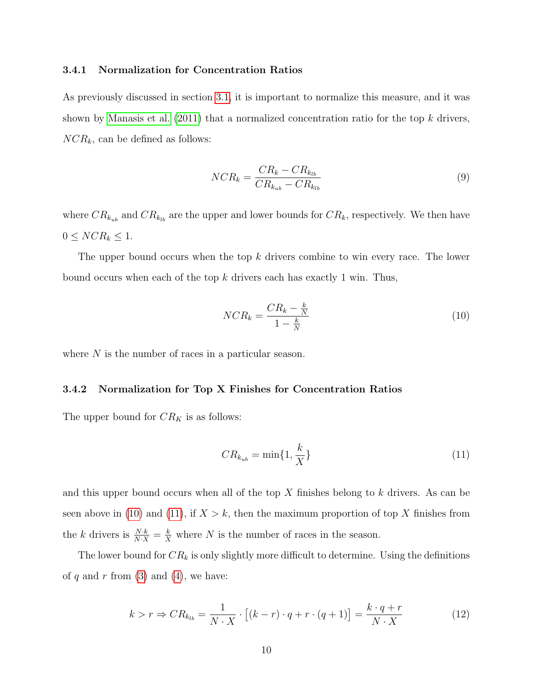#### <span id="page-9-0"></span>3.4.1 Normalization for Concentration Ratios

As previously discussed in section [3.1,](#page-5-1) it is important to normalize this measure, and it was shown by [Manasis et al.](#page-29-5) [\(2011\)](#page-29-5) that a normalized concentration ratio for the top  $k$  drivers,  $NCR_k$ , can be defined as follows:

$$
NCR_k = \frac{CR_k - CR_{k_{lb}}}{CR_{k_{ub}} - CR_{k_{lb}}}
$$
\n
$$
(9)
$$

where  $CR_{k_{ub}}$  and  $CR_{k_{lb}}$  are the upper and lower bounds for  $CR_k$ , respectively. We then have  $0 \leq NCR_k \leq 1.$ 

The upper bound occurs when the top k drivers combine to win every race. The lower bound occurs when each of the top  $k$  drivers each has exactly 1 win. Thus,

<span id="page-9-2"></span>
$$
NCR_k = \frac{CR_k - \frac{k}{N}}{1 - \frac{k}{N}}
$$
\n<sup>(10)</sup>

where  $N$  is the number of races in a particular season.

#### <span id="page-9-1"></span>3.4.2 Normalization for Top X Finishes for Concentration Ratios

The upper bound for  $CR_K$  is as follows:

<span id="page-9-3"></span>
$$
CR_{k_{ub}} = \min\{1, \frac{k}{X}\}\tag{11}
$$

and this upper bound occurs when all of the top  $X$  finishes belong to  $k$  drivers. As can be seen above in [\(10\)](#page-9-2) and [\(11\)](#page-9-3), if  $X > k$ , then the maximum proportion of top X finishes from the k drivers is  $\frac{N \cdot k}{N \cdot X} = \frac{k}{X}$  where N is the number of races in the season.

The lower bound for  $CR_k$  is only slightly more difficult to determine. Using the definitions of q and r from  $(3)$  and  $(4)$ , we have:

$$
k > r \Rightarrow CR_{k_{lb}} = \frac{1}{N \cdot X} \cdot \left[ (k - r) \cdot q + r \cdot (q + 1) \right] = \frac{k \cdot q + r}{N \cdot X} \tag{12}
$$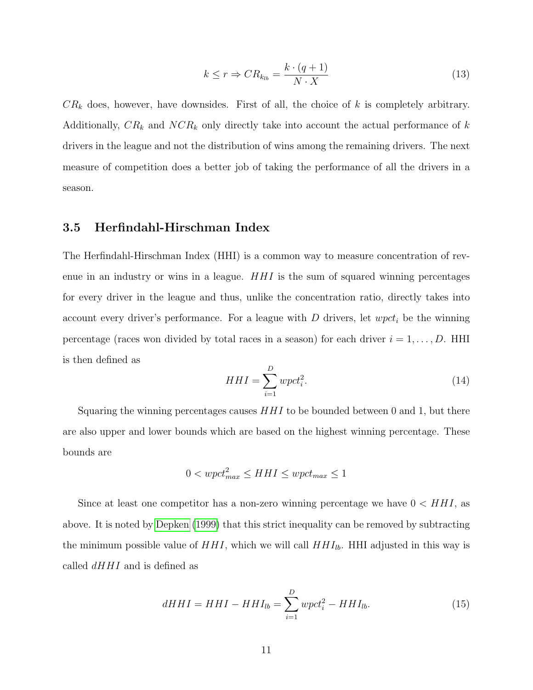$$
k \le r \Rightarrow CR_{k_{lb}} = \frac{k \cdot (q+1)}{N \cdot X} \tag{13}
$$

 $CR_k$  does, however, have downsides. First of all, the choice of k is completely arbitrary. Additionally,  $CR_k$  and  $NCR_k$  only directly take into account the actual performance of k drivers in the league and not the distribution of wins among the remaining drivers. The next measure of competition does a better job of taking the performance of all the drivers in a season.

## <span id="page-10-0"></span>3.5 Herfindahl-Hirschman Index

The Herfindahl-Hirschman Index (HHI) is a common way to measure concentration of revenue in an industry or wins in a league.  $HHI$  is the sum of squared winning percentages for every driver in the league and thus, unlike the concentration ratio, directly takes into account every driver's performance. For a league with D drivers, let  $wpct_i$  be the winning percentage (races won divided by total races in a season) for each driver  $i = 1, \ldots, D$ . HHI is then defined as

$$
HHI = \sum_{i=1}^{D} wpet_i^2.
$$
 (14)

Squaring the winning percentages causes  $HHI$  to be bounded between 0 and 1, but there are also upper and lower bounds which are based on the highest winning percentage. These bounds are

$$
0 < wpt_{max}^2 \le HHI \le wpt_{max} \le 1
$$

Since at least one competitor has a non-zero winning percentage we have  $0 < HHI$ , as above. It is noted by [Depken](#page-29-6) [\(1999\)](#page-29-6) that this strict inequality can be removed by subtracting the minimum possible value of  $HHI$ , which we will call  $HHI_{lb}$ . HHI adjusted in this way is called  $dHHI$  and is defined as

$$
dHHI = HHI - HHI_{lb} = \sum_{i=1}^{D} wpct_i^2 - HHI_{lb}.
$$
\n(15)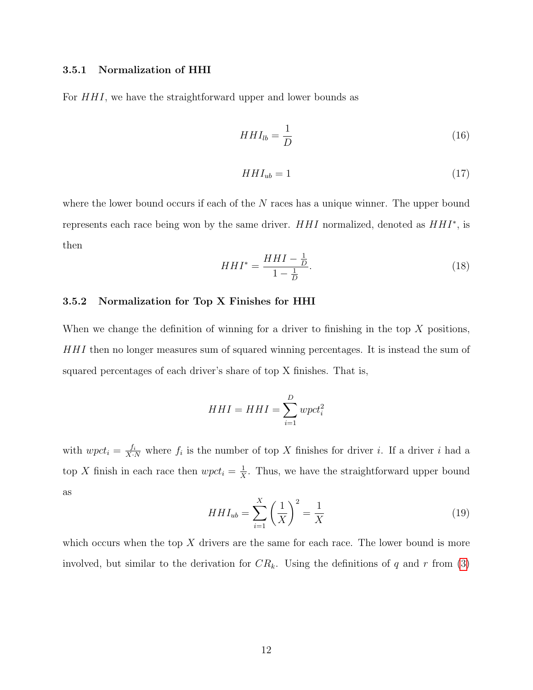### <span id="page-11-0"></span>3.5.1 Normalization of HHI

For  $HHI$ , we have the straightforward upper and lower bounds as

$$
HHI_{lb} = \frac{1}{D} \tag{16}
$$

$$
HHI_{ub} = 1\tag{17}
$$

where the lower bound occurs if each of the N races has a unique winner. The upper bound represents each race being won by the same driver.  $HHI$  normalized, denoted as  $HHI^*$ , is then

$$
HHI^* = \frac{HHI - \frac{1}{D}}{1 - \frac{1}{D}}.\t(18)
$$

### <span id="page-11-1"></span>3.5.2 Normalization for Top X Finishes for HHI

When we change the definition of winning for a driver to finishing in the top  $X$  positions, HHI then no longer measures sum of squared winning percentages. It is instead the sum of squared percentages of each driver's share of top X finishes. That is,

$$
HHI = HHI = \sum_{i=1}^{D} wpet_i^2
$$

with  $wpct_i = \frac{f_i}{X \cdot N}$  where  $f_i$  is the number of top X finishes for driver i. If a driver i had a top X finish in each race then  $wpc$   $t_i = \frac{1}{x}$  $\frac{1}{X}$ . Thus, we have the straightforward upper bound as

$$
HHI_{ub} = \sum_{i=1}^{X} \left(\frac{1}{X}\right)^2 = \frac{1}{X}
$$
 (19)

which occurs when the top  $X$  drivers are the same for each race. The lower bound is more involved, but similar to the derivation for  $CR_k$ . Using the definitions of q and r from [\(3\)](#page-6-0)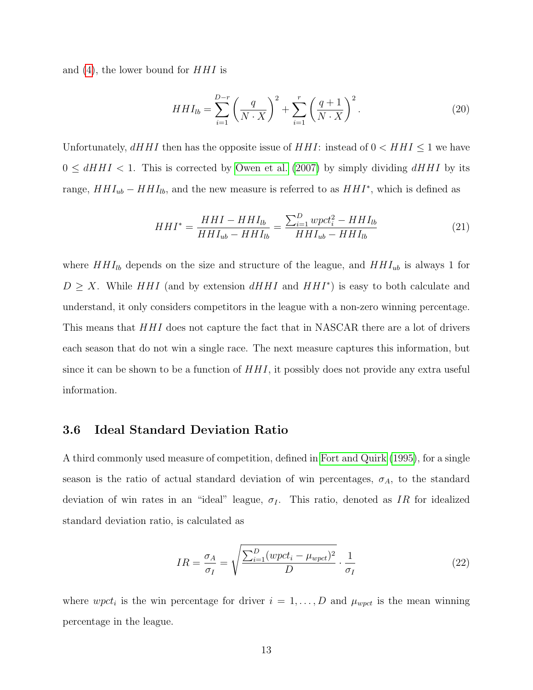and  $(4)$ , the lower bound for  $HHI$  is

$$
HHI_{lb} = \sum_{i=1}^{D-r} \left(\frac{q}{N \cdot X}\right)^2 + \sum_{i=1}^r \left(\frac{q+1}{N \cdot X}\right)^2.
$$
 (20)

Unfortunately,  $dHHI$  then has the opposite issue of  $HHI$ : instead of  $0 < HHI \leq 1$  we have  $0 \leq dHHI < 1$ . This is corrected by [Owen et al.](#page-30-0) [\(2007\)](#page-30-0) by simply dividing  $dHHI$  by its range,  $HHI_{ub} - HHI_{lb}$ , and the new measure is referred to as  $HHI^*$ , which is defined as

$$
HHI^* = \frac{HHI - HHI_{lb}}{HHI_{ub} - HHI_{lb}} = \frac{\sum_{i=1}^{D} wpet_i^2 - HHI_{lb}}{HHI_{ub} - HHI_{lb}}
$$
(21)

where  $HHI_{lb}$  depends on the size and structure of the league, and  $HHI_{ub}$  is always 1 for  $D \geq X$ . While HHI (and by extension dHHI and HHI<sup>\*</sup>) is easy to both calculate and understand, it only considers competitors in the league with a non-zero winning percentage. This means that  $HHI$  does not capture the fact that in NASCAR there are a lot of drivers each season that do not win a single race. The next measure captures this information, but since it can be shown to be a function of  $HHI$ , it possibly does not provide any extra useful information.

### <span id="page-12-0"></span>3.6 Ideal Standard Deviation Ratio

A third commonly used measure of competition, defined in [Fort and Quirk](#page-29-7) [\(1995\)](#page-29-7), for a single season is the ratio of actual standard deviation of win percentages,  $\sigma_A$ , to the standard deviation of win rates in an "ideal" league,  $\sigma_I$ . This ratio, denoted as IR for idealized standard deviation ratio, is calculated as

$$
IR = \frac{\sigma_A}{\sigma_I} = \sqrt{\frac{\sum_{i=1}^{D} (wpct_i - \mu_{wpct})^2}{D}} \cdot \frac{1}{\sigma_I}
$$
 (22)

where  $wpet_i$  is the win percentage for driver  $i = 1, \ldots, D$  and  $\mu_{wpet}$  is the mean winning percentage in the league.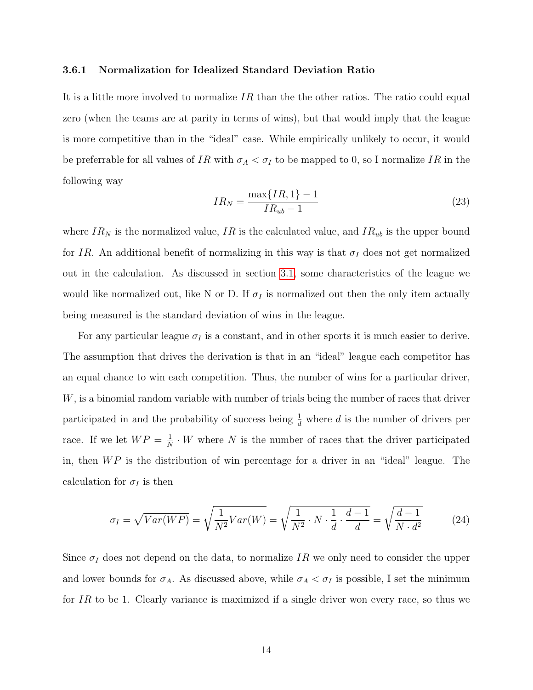#### <span id="page-13-0"></span>3.6.1 Normalization for Idealized Standard Deviation Ratio

It is a little more involved to normalize  $IR$  than the other ratios. The ratio could equal zero (when the teams are at parity in terms of wins), but that would imply that the league is more competitive than in the "ideal" case. While empirically unlikely to occur, it would be preferrable for all values of IR with  $\sigma_A < \sigma_I$  to be mapped to 0, so I normalize IR in the following way

$$
IR_N = \frac{\max\{IR, 1\} - 1}{IR_{ub} - 1}
$$
\n(23)

where  $IR_N$  is the normalized value,  $IR$  is the calculated value, and  $IR_{ub}$  is the upper bound for IR. An additional benefit of normalizing in this way is that  $\sigma_I$  does not get normalized out in the calculation. As discussed in section [3.1,](#page-5-1) some characteristics of the league we would like normalized out, like N or D. If  $\sigma_I$  is normalized out then the only item actually being measured is the standard deviation of wins in the league.

For any particular league  $\sigma_I$  is a constant, and in other sports it is much easier to derive. The assumption that drives the derivation is that in an "ideal" league each competitor has an equal chance to win each competition. Thus, the number of wins for a particular driver, W, is a binomial random variable with number of trials being the number of races that driver participated in and the probability of success being  $\frac{1}{d}$  where d is the number of drivers per race. If we let  $WP = \frac{1}{N}$  $\frac{1}{N} \cdot W$  where N is the number of races that the driver participated in, then  $WP$  is the distribution of win percentage for a driver in an "ideal" league. The calculation for  $\sigma_I$  is then

$$
\sigma_I = \sqrt{Var(WP)} = \sqrt{\frac{1}{N^2}Var(W)} = \sqrt{\frac{1}{N^2} \cdot N \cdot \frac{1}{d} \cdot \frac{d-1}{d}} = \sqrt{\frac{d-1}{N \cdot d^2}} \tag{24}
$$

Since  $\sigma_I$  does not depend on the data, to normalize IR we only need to consider the upper and lower bounds for  $\sigma_A$ . As discussed above, while  $\sigma_A < \sigma_I$  is possible, I set the minimum for  $IR$  to be 1. Clearly variance is maximized if a single driver won every race, so thus we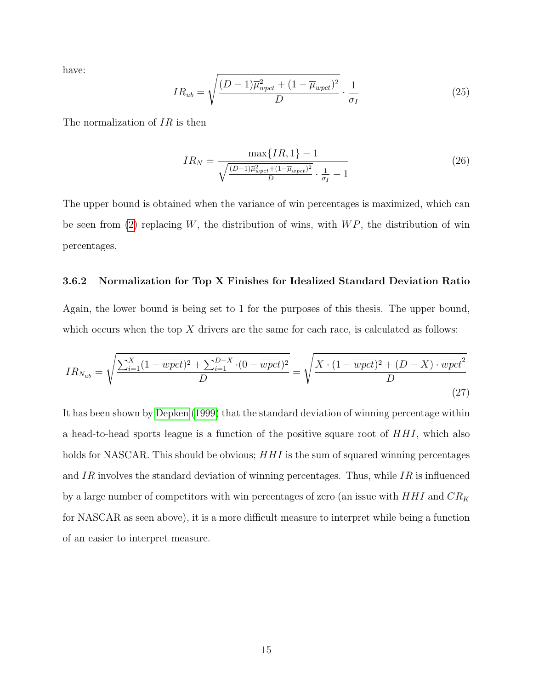have:

$$
IR_{ub} = \sqrt{\frac{(D-1)\overline{\mu}_{wpet}^2 + (1-\overline{\mu}_{wpet})^2}{D}} \cdot \frac{1}{\sigma_I}
$$
 (25)

The normalization of IR is then

$$
IR_N = \frac{\max\{IR, 1\} - 1}{\sqrt{\frac{(D-1)\overline{\mu}_{wpet}^2 + (1 - \overline{\mu}_{wpet})^2}{D} \cdot \frac{1}{\sigma_I} - 1}}\tag{26}
$$

The upper bound is obtained when the variance of win percentages is maximized, which can be seen from [\(2\)](#page-6-2) replacing W, the distribution of wins, with  $WP$ , the distribution of win percentages.

#### <span id="page-14-0"></span>3.6.2 Normalization for Top X Finishes for Idealized Standard Deviation Ratio

Again, the lower bound is being set to 1 for the purposes of this thesis. The upper bound, which occurs when the top  $X$  drivers are the same for each race, is calculated as follows:

$$
IR_{N_{ub}} = \sqrt{\frac{\sum_{i=1}^{X} (1 - \overline{wpot})^2 + \sum_{i=1}^{D-X} \cdot (0 - \overline{wpot})^2}{D}} = \sqrt{\frac{X \cdot (1 - \overline{wpot})^2 + (D - X) \cdot \overline{wpot}^2}{D}}
$$
(27)

It has been shown by [Depken](#page-29-6) [\(1999\)](#page-29-6) that the standard deviation of winning percentage within a head-to-head sports league is a function of the positive square root of HHI, which also holds for NASCAR. This should be obvious;  $HHI$  is the sum of squared winning percentages and IR involves the standard deviation of winning percentages. Thus, while IR is influenced by a large number of competitors with win percentages of zero (an issue with  $HHI$  and  $CR_K$ for NASCAR as seen above), it is a more difficult measure to interpret while being a function of an easier to interpret measure.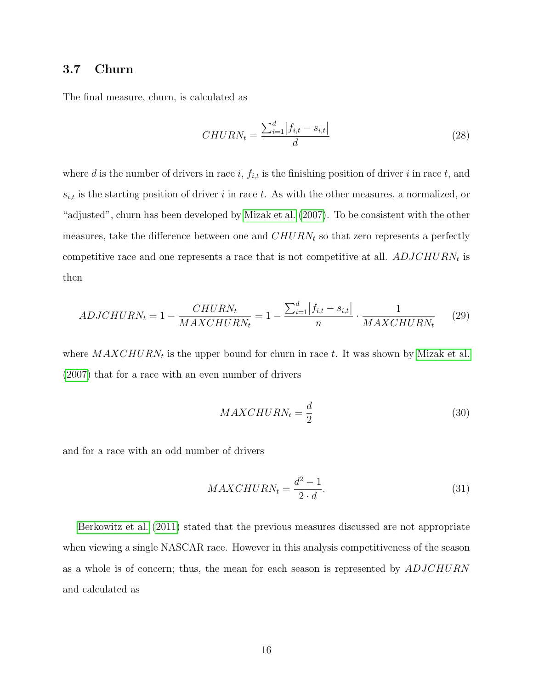## <span id="page-15-0"></span>3.7 Churn

The final measure, churn, is calculated as

$$
CHURN_t = \frac{\sum_{i=1}^{d} |f_{i,t} - s_{i,t}|}{d}
$$
\n(28)

where d is the number of drivers in race i,  $f_{i,t}$  is the finishing position of driver i in race t, and  $s_{i,t}$  is the starting position of driver i in race t. As with the other measures, a normalized, or "adjusted", churn has been developed by [Mizak et al.](#page-29-8) [\(2007\)](#page-29-8). To be consistent with the other measures, take the difference between one and  $CHURN<sub>t</sub>$  so that zero represents a perfectly competitive race and one represents a race that is not competitive at all.  $ADJCHURN<sub>t</sub>$  is then

$$
ADJCHURN_t = 1 - \frac{CHURN_t}{MAXCHURN_t} = 1 - \frac{\sum_{i=1}^{d} |f_{i,t} - s_{i,t}|}{n} \cdot \frac{1}{MAXCHURN_t}
$$
(29)

where  $MAXCHURN_t$  is the upper bound for churn in race t. It was shown by [Mizak et al.](#page-29-8) [\(2007\)](#page-29-8) that for a race with an even number of drivers

$$
MAXCHURN_t = \frac{d}{2}
$$
\n(30)

and for a race with an odd number of drivers

$$
MAXCHURN_t = \frac{d^2 - 1}{2 \cdot d}.\tag{31}
$$

[Berkowitz et al.](#page-29-2) [\(2011\)](#page-29-2) stated that the previous measures discussed are not appropriate when viewing a single NASCAR race. However in this analysis competitiveness of the season as a whole is of concern; thus, the mean for each season is represented by ADJCHURN and calculated as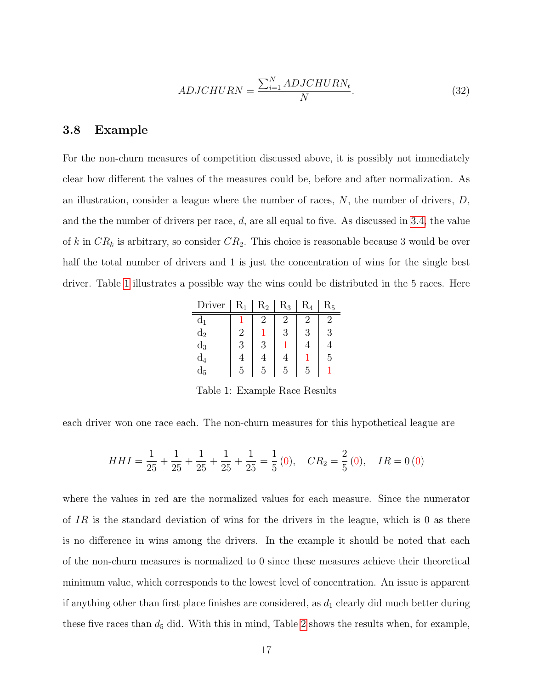$$
ADJCHURN = \frac{\sum_{i=1}^{N} ADJCHURN_t}{N}.
$$
\n(32)

### <span id="page-16-0"></span>3.8 Example

For the non-churn measures of competition discussed above, it is possibly not immediately clear how different the values of the measures could be, before and after normalization. As an illustration, consider a league where the number of races,  $N$ , the number of drivers,  $D$ , and the the number of drivers per race,  $d$ , are all equal to five. As discussed in [3.4,](#page-8-0) the value of k in  $CR_k$  is arbitrary, so consider  $CR_2$ . This choice is reasonable because 3 would be over half the total number of drivers and 1 is just the concentration of wins for the single best driver. Table [1](#page-16-1) illustrates a possible way the wins could be distributed in the 5 races. Here

| Driver         | $\rm R_1$ | $\rm R_2$ | $R_3$ | $\rm R_4$ | $\rm R_5$ |
|----------------|-----------|-----------|-------|-----------|-----------|
| $d_1$          |           | 2         | 2     | 2         |           |
| $d_2$          | 2         |           | 3     | 3         | 3         |
| $d_3$          | 3         | 3         |       | 4         |           |
| $\mathrm{d}_4$ |           | 4         |       |           | 5,        |
| $\mathrm{d}_5$ | 5         | 5         | 5     | 5         |           |

<span id="page-16-1"></span>Table 1: Example Race Results

each driver won one race each. The non-churn measures for this hypothetical league are

$$
HHI = \frac{1}{25} + \frac{1}{25} + \frac{1}{25} + \frac{1}{25} + \frac{1}{25} = \frac{1}{5}(0), \quad CR_2 = \frac{2}{5}(0), \quad IR = 0(0)
$$

where the values in red are the normalized values for each measure. Since the numerator of IR is the standard deviation of wins for the drivers in the league, which is 0 as there is no difference in wins among the drivers. In the example it should be noted that each of the non-churn measures is normalized to 0 since these measures achieve their theoretical minimum value, which corresponds to the lowest level of concentration. An issue is apparent if anything other than first place finishes are considered, as  $d_1$  clearly did much better during these five races than  $d_5$  did. With this in mind, Table [2](#page-17-2) shows the results when, for example,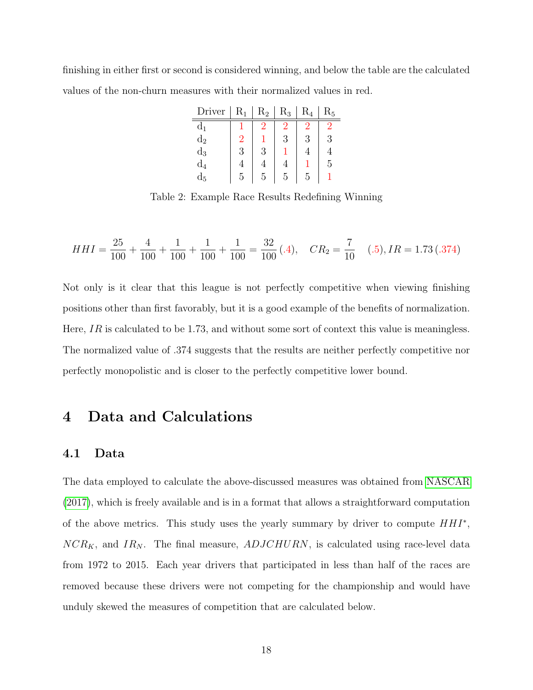finishing in either first or second is considered winning, and below the table are the calculated values of the non-churn measures with their normalized values in red.

| Driver         | $R_1$ | $R_2$ | $\rm R_3$ | $R_4$ | $\rm R_5$ |
|----------------|-------|-------|-----------|-------|-----------|
| d <sub>1</sub> |       |       | 2         |       |           |
| $d_2$          | 2     |       | 3         |       | 3         |
| $\mathrm{d}_3$ | 3     | 3     |           |       |           |
| $\mathrm{d}_4$ | 4     |       |           |       | 5         |
| $\mathrm{d}_5$ | 5     | h     | 5         | h,    |           |

<span id="page-17-2"></span>Table 2: Example Race Results Redefining Winning

$$
HHI = \frac{25}{100} + \frac{4}{100} + \frac{1}{100} + \frac{1}{100} + \frac{1}{100} = \frac{32}{100} (.4), \quad CR_2 = \frac{7}{10} \quad (.5), IR = 1.73 (.374)
$$

Not only is it clear that this league is not perfectly competitive when viewing finishing positions other than first favorably, but it is a good example of the benefits of normalization. Here, IR is calculated to be 1.73, and without some sort of context this value is meaningless. The normalized value of .374 suggests that the results are neither perfectly competitive nor perfectly monopolistic and is closer to the perfectly competitive lower bound.

## <span id="page-17-0"></span>4 Data and Calculations

### <span id="page-17-1"></span>4.1 Data

The data employed to calculate the above-discussed measures was obtained from [NASCAR](#page-29-9) [\(2017\)](#page-29-9), which is freely available and is in a format that allows a straightforward computation of the above metrics. This study uses the yearly summary by driver to compute  $HHI^*$ ,  $NCR_K$ , and  $IR_N$ . The final measure,  $ADJCHURN$ , is calculated using race-level data from 1972 to 2015. Each year drivers that participated in less than half of the races are removed because these drivers were not competing for the championship and would have unduly skewed the measures of competition that are calculated below.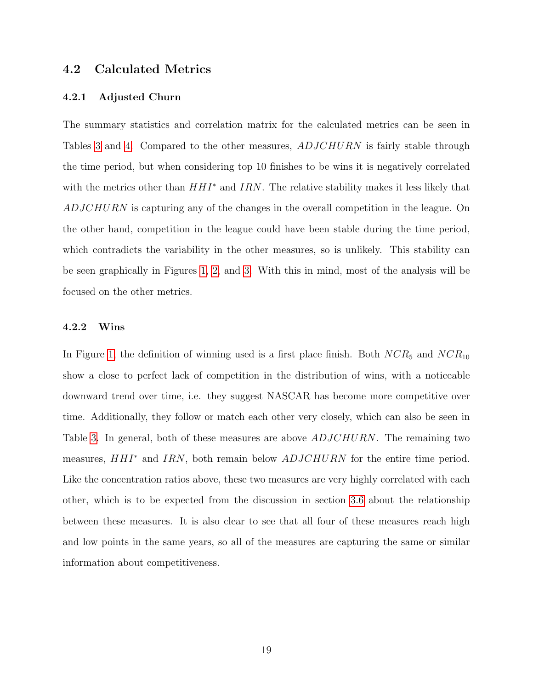## <span id="page-18-0"></span>4.2 Calculated Metrics

#### <span id="page-18-1"></span>4.2.1 Adjusted Churn

The summary statistics and correlation matrix for the calculated metrics can be seen in Tables [3](#page-19-0) and [4.](#page-20-2) Compared to the other measures, ADJCHURN is fairly stable through the time period, but when considering top 10 finishes to be wins it is negatively correlated with the metrics other than  $HHI^*$  and IRN. The relative stability makes it less likely that ADJCHURN is capturing any of the changes in the overall competition in the league. On the other hand, competition in the league could have been stable during the time period, which contradicts the variability in the other measures, so is unlikely. This stability can be seen graphically in Figures [1,](#page-21-0) [2,](#page-22-2) and [3.](#page-23-1) With this in mind, most of the analysis will be focused on the other metrics.

### <span id="page-18-2"></span>4.2.2 Wins

In Figure [1,](#page-21-0) the definition of winning used is a first place finish. Both  $NCR_5$  and  $NCR_{10}$ show a close to perfect lack of competition in the distribution of wins, with a noticeable downward trend over time, i.e. they suggest NASCAR has become more competitive over time. Additionally, they follow or match each other very closely, which can also be seen in Table [3.](#page-19-0) In general, both of these measures are above  $ADJCHURN$ . The remaining two measures,  $HHI^*$  and IRN, both remain below  $ADJCHURN$  for the entire time period. Like the concentration ratios above, these two measures are very highly correlated with each other, which is to be expected from the discussion in section [3.6](#page-12-0) about the relationship between these measures. It is also clear to see that all four of these measures reach high and low points in the same years, so all of the measures are capturing the same or similar information about competitiveness.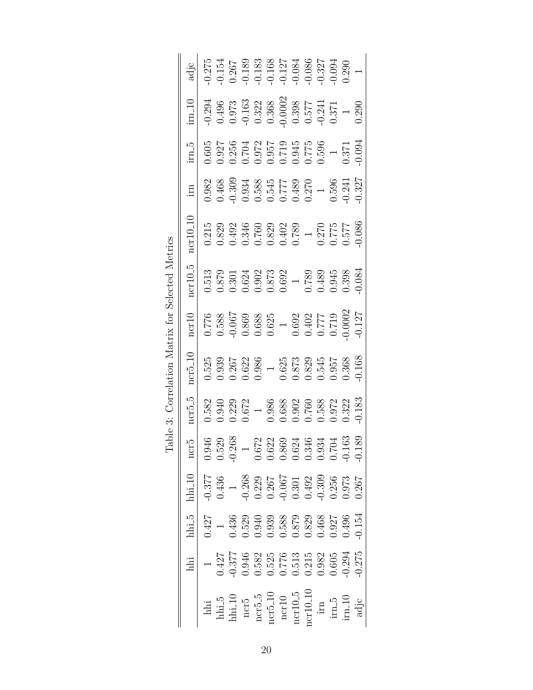<span id="page-19-0"></span>

| $\frac{\text{im10}}{\text{im2}}$  |                                                                                                                                                                                                                                                                                                                                                                                         | $\begin{array}{l} -0.294 \\ 0.496 \\ 0.973 \\ 0.163 \\ 0.322 \\ 0.368 \\ 0.300 \\ 0.0002 \\ 0.577 \\ 1.1 \\ 0.371 \\ 0.371 \\ 0.371 \\ 0.371 \\ 0.371 \\ 0.371 \\ \end{array}$                                                                                                                      |  |  |  |  |                                                                                                                                                                                                                                                                                                                                   |
|-----------------------------------|-----------------------------------------------------------------------------------------------------------------------------------------------------------------------------------------------------------------------------------------------------------------------------------------------------------------------------------------------------------------------------------------|-----------------------------------------------------------------------------------------------------------------------------------------------------------------------------------------------------------------------------------------------------------------------------------------------------|--|--|--|--|-----------------------------------------------------------------------------------------------------------------------------------------------------------------------------------------------------------------------------------------------------------------------------------------------------------------------------------|
| $\frac{1 \text{m}}{2}$            | $\begin{array}{rrrr} 0.605 & 0.605 & 0.005 & 0.000 & 0.000 & 0.000 & 0.000 & 0.000 & 0.000 & 0.000 & 0.000 & 0.000 & 0.000 & 0.000 & 0.000 & 0.000 & 0.000 & 0.000 & 0.000 & 0.000 & 0.000 & 0.000 & 0.000 & 0.000 & 0.000 & 0.000 & 0.000 & 0.000 & 0.000 & 0.000 & 0$                                                                                                                 |                                                                                                                                                                                                                                                                                                     |  |  |  |  |                                                                                                                                                                                                                                                                                                                                   |
| irn                               |                                                                                                                                                                                                                                                                                                                                                                                         | $\begin{array}{r} 0.982 \\ 0.468 \\ 0.468 \\ 0.934 \\ 0.588 \\ 0.545 \\ 0.549 \\ 0.777 \\ 1 \\ 0.590 \\ 0.270 \\ 1 \\ 0.596 \\ 0.241 \\ 0.596 \\ 0.241 \\ 0.597 \\ 0.480 \\ 0.597 \\ 0.41 \\ 0.596 \\ 0.41 \\ 0.597 \\ 0.527 \\ \end{array}$                                                        |  |  |  |  |                                                                                                                                                                                                                                                                                                                                   |
|                                   | $\begin{array}{r l} \texttt{D10-10-10} \\ \texttt{D215} \\ \texttt{0.215} \\ \texttt{0.339} \\ \texttt{0.349} \\ \texttt{0.349} \\ \texttt{0.57} \\ \texttt{0.69} \\ \texttt{0.77} \\ \texttt{0.57} \\ \texttt{0.57} \\ \texttt{0.57} \\ \texttt{0.57} \\ \texttt{0.57} \\ \texttt{0.57} \\ \texttt{0.57} \\ \texttt{0.57} \\ \texttt{0.58} \\ \texttt{0.57} \\ \texttt{0.58} \\ \text$ |                                                                                                                                                                                                                                                                                                     |  |  |  |  |                                                                                                                                                                                                                                                                                                                                   |
| $\frac{\text{ncr10.5}}{2}$        | $\begin{array}{c} 0.513 \\ 0.879 \\ 0.301 \\ 0.624 \\ 0.6373 \\ 0.692 \\ 0.692 \\ 0.789 \\ 0.789 \\ 0.0489 \\ 0.0345 \\ 0.034 \\ 0.034 \\ 0.034 \\ 0.034 \\ 0.034 \\ 0.034 \\ \end{array}$                                                                                                                                                                                              |                                                                                                                                                                                                                                                                                                     |  |  |  |  |                                                                                                                                                                                                                                                                                                                                   |
| $\frac{\text{ncr10}}{2}$          |                                                                                                                                                                                                                                                                                                                                                                                         | $\begin{array}{r} 0.776 \\ 0.588 \\ -0.067 \\ 0.869 \\ 0.625 \\ 0.625 \\ 0.625 \\ 0.692 \\ 0.777 \\ 0.0002 \\ 0.0002 \\ 0.0002 \\ 0.0002 \\ \end{array}$                                                                                                                                            |  |  |  |  |                                                                                                                                                                                                                                                                                                                                   |
| $\frac{\text{ncr}5.10}{\text{c}}$ |                                                                                                                                                                                                                                                                                                                                                                                         | $\begin{array}{r} 0.525 \\ 0.939 \\ 0.267 \\ 0.622 \\ 0.639 \\ 0.630 \\ 0.637 \\ 0.637 \\ 0.639 \\ 0.637 \\ 0.639 \\ 0.637 \\ 0.036 \\ 0.036 \\ 0.036 \\ 0.036 \\ 0.036 \\ 0.036 \\ 0.036 \\ 0.036 \\ 0.036 \\ 0.036 \\ 0.036 \\ 0.036 \\ 0.036 \\ 0.036 \\ 0.036 \\ 0.036 \\ 0.036 \\ 0.036 \\ 0.$ |  |  |  |  |                                                                                                                                                                                                                                                                                                                                   |
| $\frac{\text{ncr5-5}}{}$          |                                                                                                                                                                                                                                                                                                                                                                                         | $\begin{array}{r} 0.582 \\ 0.940 \\ 0.229 \\ 0.672 \\ 0.986 \\ 0.988 \\ 0.032 \\ 0.000 \\ 0.000 \\ 0.000 \\ 0.032 \\ 0.032 \\ 0.033 \\ 0.033 \\ 0.033 \\ 0.033 \\ 0.033 \\ 0.033 \\ 0.033 \\ 0.033 \\ 0.033 \\ 0.033 \\ 0.033 \\ 0.033 \\ 0.033 \\ 0.033 \\ 0.033 \\ 0.033 \\ 0.033 \\ 0.033 \\ 0.$ |  |  |  |  |                                                                                                                                                                                                                                                                                                                                   |
| ∣  ٍب<br>ncr                      |                                                                                                                                                                                                                                                                                                                                                                                         |                                                                                                                                                                                                                                                                                                     |  |  |  |  | $\begin{array}{r} 0.946 \\ 0.529 \\ 0.672 \\ 1 \\ 0.672 \\ 0.632 \\ 0.632 \\ 0.634 \\ 0.346 \\ 0.704 \\ 0.704 \\ 0.704 \\ 0.704 \\ 0.704 \\ 0.704 \\ 0.703 \\ 0.704 \\ 0.703 \\ 0.704 \\ 0.703 \\ 0.704 \\ 0.703 \\ 0.704 \\ 0.703 \\ 0.704 \\ 0.705 \\ 0.704 \\ 0.705 \\ 0.704 \\ 0.705 \\ 0.704 \\$                             |
| $\mathrm{hhi}\text{-}10$          |                                                                                                                                                                                                                                                                                                                                                                                         |                                                                                                                                                                                                                                                                                                     |  |  |  |  | $\begin{array}{r} 0.377 \\ 0.436 \\ 1 \\ -0.268 \\ 0.267 \\ 0.301 \\ 0.492 \\ 0.301 \\ 0.492 \\ 0.303 \\ 0.303 \\ 0.037 \\ 0.037 \\ 0.037 \\ 0.037 \\ 0.037 \\ 0.037 \\ 0.030 \\ 0.037 \\ 0.037 \\ 0.030 \\ 0.030 \\ 0.030 \\ 0.030 \\ 0.030 \\ 0.030 \\ 0.030 \\ 0.030 \\ 0.030 \\ 0.030 \\ 0.030 \\$                            |
| $hhi_5$                           |                                                                                                                                                                                                                                                                                                                                                                                         |                                                                                                                                                                                                                                                                                                     |  |  |  |  | $\begin{array}{r} 1.427 \\ -1.536 \\ -0.436 \\ -0.529 \\ -0.939 \\ -0.939 \\ -0.879 \\ -0.879 \\ -0.80 \\ -0.030 \\ -0.030 \\ -0.030 \\ -0.030 \\ -0.030 \\ -0.030 \\ -0.154 \\ -0.154 \\ -0.154 \\ -0.154 \\ -0.154 \\ -0.154 \\ -0.154 \\ -0.154 \\ -0.154 \\ -0.154 \\ -0.154 \\ -0.154 \\ -0.154 \\ -0.154 \\ -0.154 \\ -0.1$ |
|                                   |                                                                                                                                                                                                                                                                                                                                                                                         |                                                                                                                                                                                                                                                                                                     |  |  |  |  | $\begin{array}{l} 0.427 \\ 0.377 \\ 0.946 \\ 0.582 \\ 0.577 \\ 0.594 \\ 0.513 \\ 0.513 \\ 0.82 \\ 0.005 \\ 0.005 \\ 0.005 \\ 0.005 \\ 0.005 \\ 0.005 \\ 0.004 \\ 0.005 \\ 0.004 \\ 0.004 \\ 0.004 \\ 0.004 \\ 0.004 \\ 0.004 \\ 0.005 \\ 0.004 \\ 0.004 \\ 0.004 \\ 0.004 \\ 0.004 \\ 0.004 \\ 0.0$                               |
|                                   | hli                                                                                                                                                                                                                                                                                                                                                                                     |                                                                                                                                                                                                                                                                                                     |  |  |  |  | $\begin{tabular}{l} \hline \text{hhi}.5 \\ \text{hhi}.10 \\ \text{ncr5-5} \\ \text{ncr5-10} \\ \text{ncr10} \\ \text{net10} \\ \text{inr10-5} \\ \text{inr10-10} \\ \text{inr10-10} \\ \text{inr10-10} \\ \text{inr10-10} \\ \text{inr10-10} \\ \hline \end{tabular}$                                                             |

Table 3: Correlation Matrix for Selected Metrics Table 3: Correlation Matrix for Selected Metrics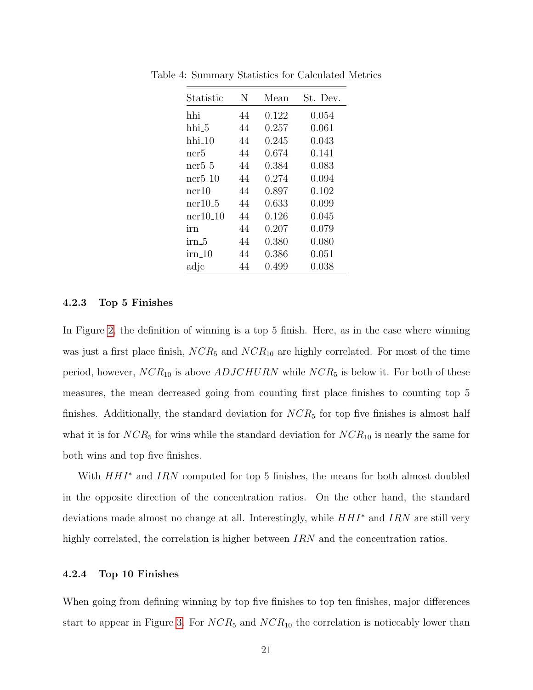<span id="page-20-2"></span>

| Statistic             | N  | Mean  | St. Dev. |
|-----------------------|----|-------|----------|
| hhi                   | 44 | 0.122 | 0.054    |
| hhi_5                 | 44 | 0.257 | 0.061    |
| $hhi_10$              | 44 | 0.245 | 0.043    |
| ncr5                  | 44 | 0.674 | 0.141    |
| $ncr5_5$              | 44 | 0.384 | 0.083    |
| ncr5 <sub>-</sub> 10  | 44 | 0.274 | 0.094    |
| ncr10                 | 44 | 0.897 | 0.102    |
| $ncr10_5$             | 44 | 0.633 | 0.099    |
| ncr10 <sub>-</sub> 10 | 44 | 0.126 | 0.045    |
| ırn                   | 44 | 0.207 | 0.079    |
| irn 5                 | 44 | 0.380 | 0.080    |
| $irn_10$              | 44 | 0.386 | 0.051    |
| adjc                  | 44 | 0.499 | 0.038    |

Table 4: Summary Statistics for Calculated Metrics

#### <span id="page-20-0"></span>4.2.3 Top 5 Finishes

In Figure [2,](#page-22-2) the definition of winning is a top 5 finish. Here, as in the case where winning was just a first place finish,  $NCR_5$  and  $NCR_{10}$  are highly correlated. For most of the time period, however,  $NCR_{10}$  is above  $ADJCHURN$  while  $NCR_5$  is below it. For both of these measures, the mean decreased going from counting first place finishes to counting top 5 finishes. Additionally, the standard deviation for  $NCR_5$  for top five finishes is almost half what it is for  $NCR_5$  for wins while the standard deviation for  $NCR_{10}$  is nearly the same for both wins and top five finishes.

With  $HHI^*$  and IRN computed for top 5 finishes, the means for both almost doubled in the opposite direction of the concentration ratios. On the other hand, the standard deviations made almost no change at all. Interestingly, while  $HHI^*$  and IRN are still very highly correlated, the correlation is higher between  $IRN$  and the concentration ratios.

#### <span id="page-20-1"></span>4.2.4 Top 10 Finishes

When going from defining winning by top five finishes to top ten finishes, major differences start to appear in Figure [3.](#page-23-1) For  $NCR_5$  and  $NCR_{10}$  the correlation is noticeably lower than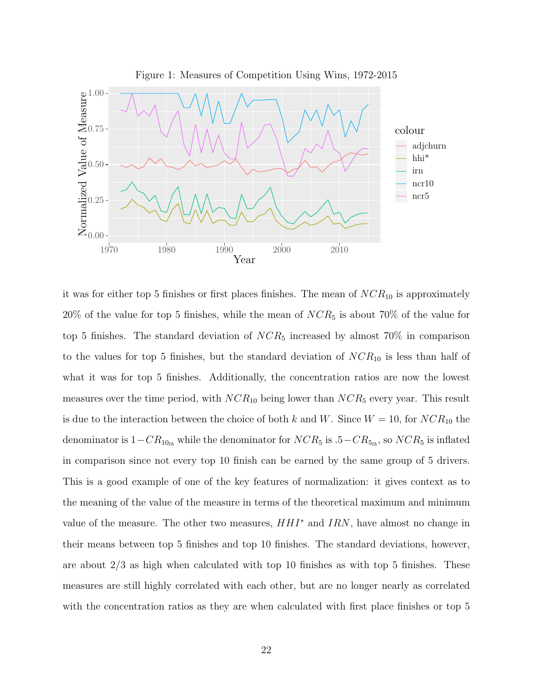<span id="page-21-0"></span>

it was for either top 5 finishes or first places finishes. The mean of  $NCR_{10}$  is approximately  $20\%$  of the value for top 5 finishes, while the mean of  $NCR_5$  is about 70% of the value for top 5 finishes. The standard deviation of  $NCR_5$  increased by almost 70% in comparison to the values for top 5 finishes, but the standard deviation of  $NCR_{10}$  is less than half of what it was for top 5 finishes. Additionally, the concentration ratios are now the lowest measures over the time period, with  $NCR_{10}$  being lower than  $NCR_5$  every year. This result is due to the interaction between the choice of both k and W. Since  $W = 10$ , for  $NCR_{10}$  the denominator is  $1-CR_{10_{lb}}$  while the denominator for  $NCR_5$  is .5 $-CR_{5_{lb}}$ , so  $NCR_5$  is inflated in comparison since not every top 10 finish can be earned by the same group of 5 drivers. This is a good example of one of the key features of normalization: it gives context as to the meaning of the value of the measure in terms of the theoretical maximum and minimum value of the measure. The other two measures,  $HHI^*$  and  $IRN$ , have almost no change in their means between top 5 finishes and top 10 finishes. The standard deviations, however, are about 2/3 as high when calculated with top 10 finishes as with top 5 finishes. These measures are still highly correlated with each other, but are no longer nearly as correlated with the concentration ratios as they are when calculated with first place finishes or top 5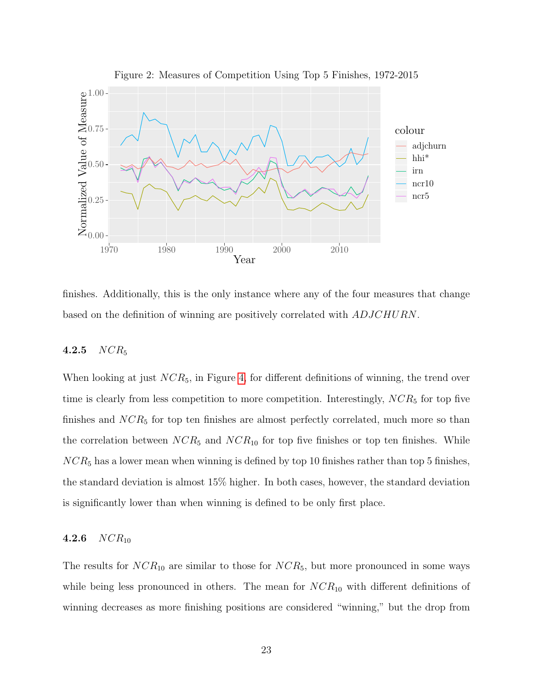

<span id="page-22-2"></span>Figure 2: Measures of Competition Using Top 5 Finishes, 1972-2015

finishes. Additionally, this is the only instance where any of the four measures that change based on the definition of winning are positively correlated with ADJCHURN.

### <span id="page-22-0"></span>4.2.5  $NCR_5$

When looking at just  $NCR_5$ , in Figure [4,](#page-24-1) for different definitions of winning, the trend over time is clearly from less competition to more competition. Interestingly,  $NCR_5$  for top five finishes and  $NCR_5$  for top ten finishes are almost perfectly correlated, much more so than the correlation between  $NCR_5$  and  $NCR_{10}$  for top five finishes or top ten finishes. While  $NCR_5$  has a lower mean when winning is defined by top 10 finishes rather than top 5 finishes, the standard deviation is almost 15% higher. In both cases, however, the standard deviation is significantly lower than when winning is defined to be only first place.

### <span id="page-22-1"></span>4.2.6  $NCR_{10}$

The results for  $NCR_{10}$  are similar to those for  $NCR_5$ , but more pronounced in some ways while being less pronounced in others. The mean for  $NCR_{10}$  with different definitions of winning decreases as more finishing positions are considered "winning," but the drop from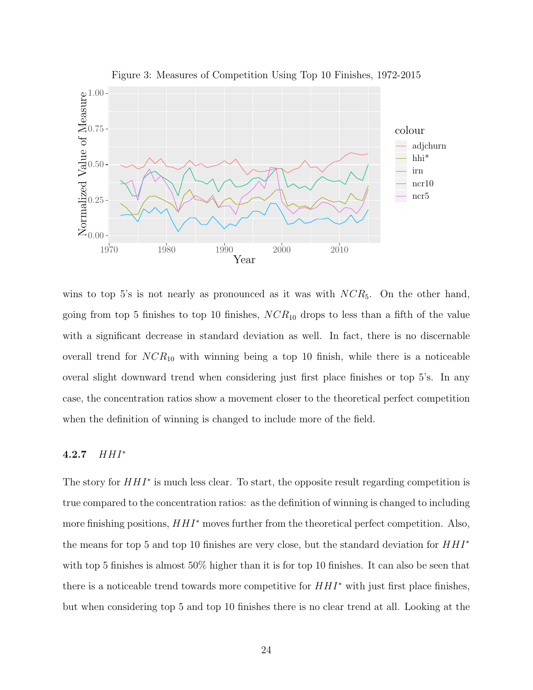

<span id="page-23-1"></span>Figure 3: Measures of Competition Using Top 10 Finishes, 1972-2015

wins to top 5's is not nearly as pronounced as it was with  $NCR_5$ . On the other hand, going from top 5 finishes to top 10 finishes,  $NCR_{10}$  drops to less than a fifth of the value with a significant decrease in standard deviation as well. In fact, there is no discernable overall trend for  $NCR_{10}$  with winning being a top 10 finish, while there is a noticeable overal slight downward trend when considering just first place finishes or top 5's. In any case, the concentration ratios show a movement closer to the theoretical perfect competition when the definition of winning is changed to include more of the field.

### <span id="page-23-0"></span>4.2.7 HHI<sup>∗</sup>

The story for  $HHI^*$  is much less clear. To start, the opposite result regarding competition is true compared to the concentration ratios: as the definition of winning is changed to including more finishing positions,  $HHI^*$  moves further from the theoretical perfect competition. Also, the means for top 5 and top 10 finishes are very close, but the standard deviation for  $HHI^*$ with top 5 finishes is almost 50% higher than it is for top 10 finishes. It can also be seen that there is a noticeable trend towards more competitive for  $H H I^*$  with just first place finishes, but when considering top 5 and top 10 finishes there is no clear trend at all. Looking at the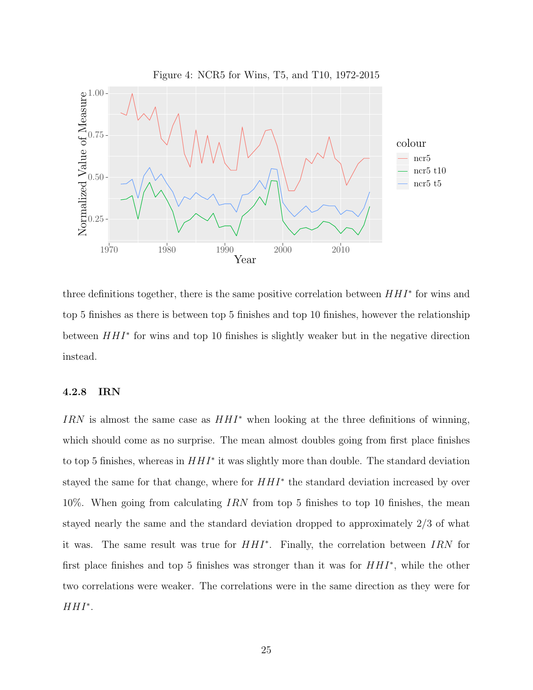<span id="page-24-1"></span>

three definitions together, there is the same positive correlation between  $HHI^*$  for wins and top 5 finishes as there is between top 5 finishes and top 10 finishes, however the relationship between  $HHI^*$  for wins and top 10 finishes is slightly weaker but in the negative direction instead.

#### <span id="page-24-0"></span>4.2.8 IRN

IRN is almost the same case as  $HHI^*$  when looking at the three definitions of winning, which should come as no surprise. The mean almost doubles going from first place finishes to top 5 finishes, whereas in  $HHI^*$  it was slightly more than double. The standard deviation stayed the same for that change, where for  $HHI^*$  the standard deviation increased by over 10%. When going from calculating IRN from top 5 finishes to top 10 finishes, the mean stayed nearly the same and the standard deviation dropped to approximately 2/3 of what it was. The same result was true for HHI<sup>∗</sup> . Finally, the correlation between IRN for first place finishes and top 5 finishes was stronger than it was for  $HHI^*$ , while the other two correlations were weaker. The correlations were in the same direction as they were for  $HHI^*$ .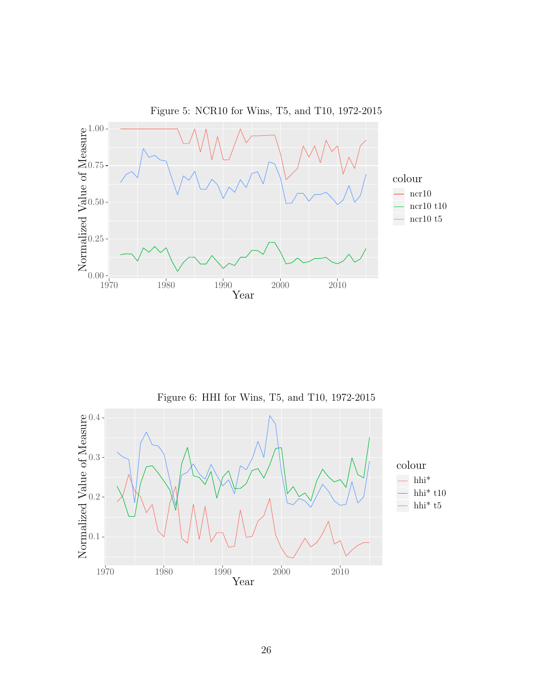

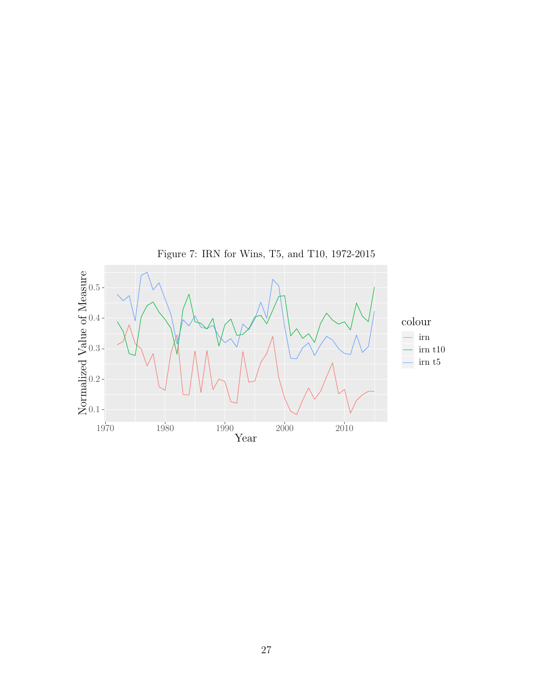

27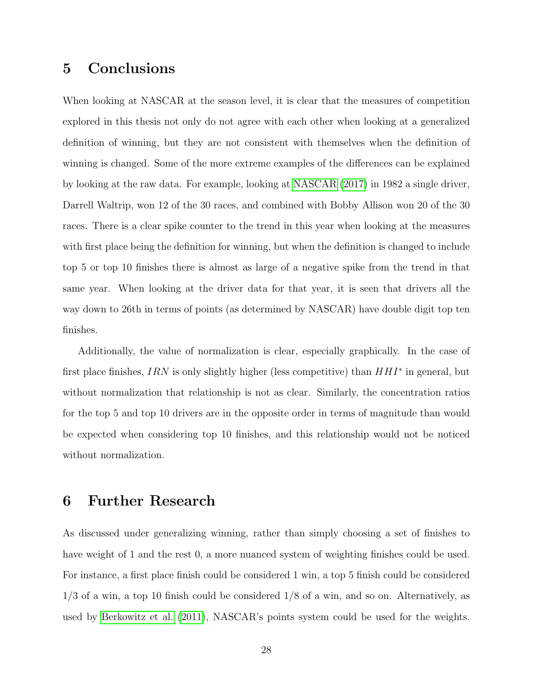## <span id="page-27-0"></span>5 Conclusions

When looking at NASCAR at the season level, it is clear that the measures of competition explored in this thesis not only do not agree with each other when looking at a generalized definition of winning, but they are not consistent with themselves when the definition of winning is changed. Some of the more extreme examples of the differences can be explained by looking at the raw data. For example, looking at [NASCAR](#page-29-9) [\(2017\)](#page-29-9) in 1982 a single driver, Darrell Waltrip, won 12 of the 30 races, and combined with Bobby Allison won 20 of the 30 races. There is a clear spike counter to the trend in this year when looking at the measures with first place being the definition for winning, but when the definition is changed to include top 5 or top 10 finishes there is almost as large of a negative spike from the trend in that same year. When looking at the driver data for that year, it is seen that drivers all the way down to 26th in terms of points (as determined by NASCAR) have double digit top ten finishes.

Additionally, the value of normalization is clear, especially graphically. In the case of first place finishes,  $IRN$  is only slightly higher (less competitive) than  $HHI^*$  in general, but without normalization that relationship is not as clear. Similarly, the concentration ratios for the top 5 and top 10 drivers are in the opposite order in terms of magnitude than would be expected when considering top 10 finishes, and this relationship would not be noticed without normalization.

## <span id="page-27-1"></span>6 Further Research

As discussed under generalizing winning, rather than simply choosing a set of finishes to have weight of 1 and the rest 0, a more nuanced system of weighting finishes could be used. For instance, a first place finish could be considered 1 win, a top 5 finish could be considered  $1/3$  of a win, a top 10 finish could be considered  $1/8$  of a win, and so on. Alternatively, as used by [Berkowitz et al.](#page-29-2) [\(2011\)](#page-29-2), NASCAR's points system could be used for the weights.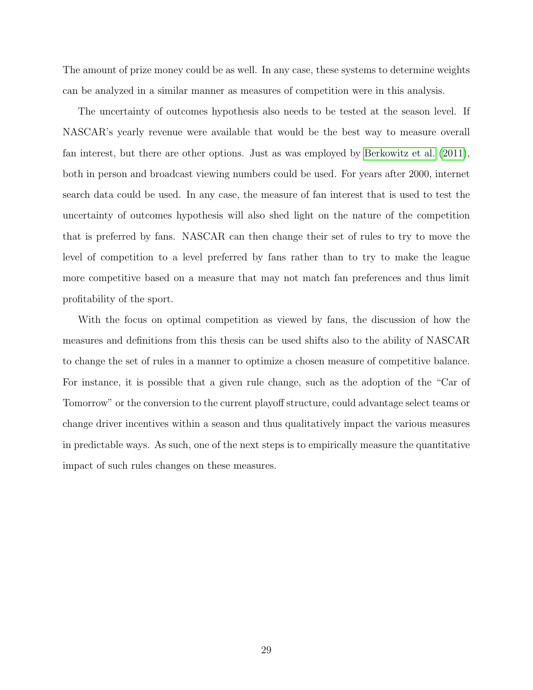The amount of prize money could be as well. In any case, these systems to determine weights can be analyzed in a similar manner as measures of competition were in this analysis.

The uncertainty of outcomes hypothesis also needs to be tested at the season level. If NASCAR's yearly revenue were available that would be the best way to measure overall fan interest, but there are other options. Just as was employed by [Berkowitz et al.](#page-29-2) [\(2011\)](#page-29-2), both in person and broadcast viewing numbers could be used. For years after 2000, internet search data could be used. In any case, the measure of fan interest that is used to test the uncertainty of outcomes hypothesis will also shed light on the nature of the competition that is preferred by fans. NASCAR can then change their set of rules to try to move the level of competition to a level preferred by fans rather than to try to make the league more competitive based on a measure that may not match fan preferences and thus limit profitability of the sport.

With the focus on optimal competition as viewed by fans, the discussion of how the measures and definitions from this thesis can be used shifts also to the ability of NASCAR to change the set of rules in a manner to optimize a chosen measure of competitive balance. For instance, it is possible that a given rule change, such as the adoption of the "Car of Tomorrow" or the conversion to the current playoff structure, could advantage select teams or change driver incentives within a season and thus qualitatively impact the various measures in predictable ways. As such, one of the next steps is to empirically measure the quantitative impact of such rules changes on these measures.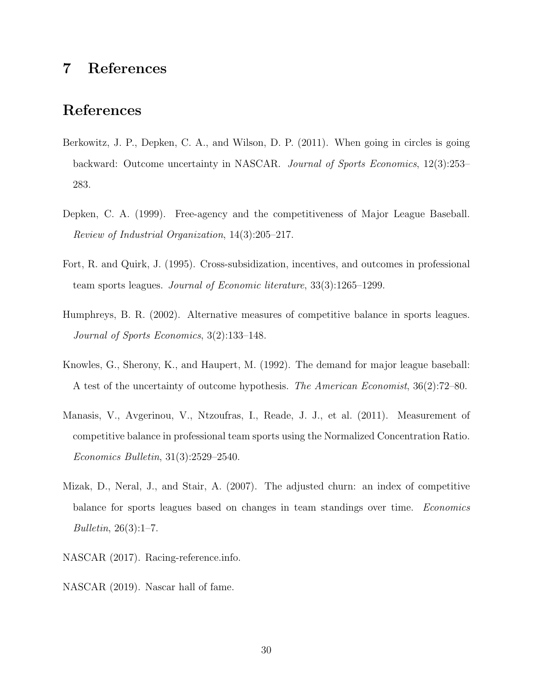## <span id="page-29-0"></span>7 References

## References

- <span id="page-29-2"></span>Berkowitz, J. P., Depken, C. A., and Wilson, D. P. (2011). When going in circles is going backward: Outcome uncertainty in NASCAR. Journal of Sports Economics, 12(3):253– 283.
- <span id="page-29-6"></span>Depken, C. A. (1999). Free-agency and the competitiveness of Major League Baseball. Review of Industrial Organization, 14(3):205–217.
- <span id="page-29-7"></span>Fort, R. and Quirk, J. (1995). Cross-subsidization, incentives, and outcomes in professional team sports leagues. Journal of Economic literature, 33(3):1265–1299.
- <span id="page-29-4"></span>Humphreys, B. R. (2002). Alternative measures of competitive balance in sports leagues. Journal of Sports Economics, 3(2):133–148.
- <span id="page-29-1"></span>Knowles, G., Sherony, K., and Haupert, M. (1992). The demand for major league baseball: A test of the uncertainty of outcome hypothesis. The American Economist, 36(2):72–80.
- <span id="page-29-5"></span>Manasis, V., Avgerinou, V., Ntzoufras, I., Reade, J. J., et al. (2011). Measurement of competitive balance in professional team sports using the Normalized Concentration Ratio. Economics Bulletin, 31(3):2529–2540.
- <span id="page-29-8"></span>Mizak, D., Neral, J., and Stair, A. (2007). The adjusted churn: an index of competitive balance for sports leagues based on changes in team standings over time. Economics Bulletin, 26(3):1–7.
- <span id="page-29-9"></span>NASCAR (2017). Racing-reference.info.
- <span id="page-29-3"></span>NASCAR (2019). Nascar hall of fame.